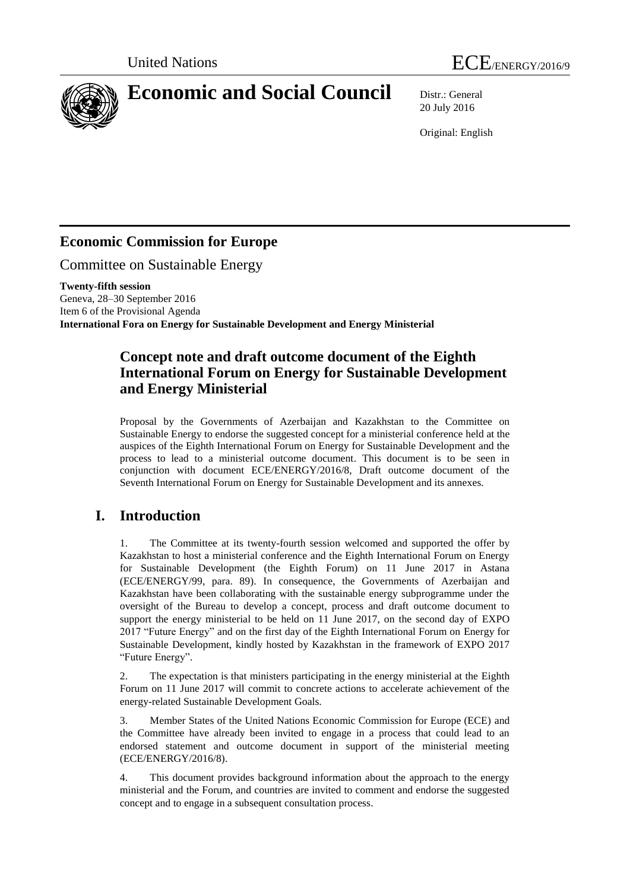



20 July 2016

Original: English

# **Economic Commission for Europe**

Committee on Sustainable Energy

**Twenty-fifth session** Geneva, 28–30 September 2016 Item 6 of the Provisional Agenda **International Fora on Energy for Sustainable Development and Energy Ministerial**

# **Concept note and draft outcome document of the Eighth International Forum on Energy for Sustainable Development and Energy Ministerial**

Proposal by the Governments of Azerbaijan and Kazakhstan to the Committee on Sustainable Energy to endorse the suggested concept for a ministerial conference held at the auspices of the Eighth International Forum on Energy for Sustainable Development and the process to lead to a ministerial outcome document. This document is to be seen in conjunction with document ECE/ENERGY/2016/8, Draft outcome document of the Seventh International Forum on Energy for Sustainable Development and its annexes.

# **I. Introduction**

1. The Committee at its twenty-fourth session welcomed and supported the offer by Kazakhstan to host a ministerial conference and the Eighth International Forum on Energy for Sustainable Development (the Eighth Forum) on 11 June 2017 in Astana (ECE/ENERGY/99, para. 89). In consequence, the Governments of Azerbaijan and Kazakhstan have been collaborating with the sustainable energy subprogramme under the oversight of the Bureau to develop a concept, process and draft outcome document to support the energy ministerial to be held on 11 June 2017, on the second day of EXPO 2017 "Future Energy" and on the first day of the Eighth International Forum on Energy for Sustainable Development, kindly hosted by Kazakhstan in the framework of EXPO 2017 "Future Energy".

2. The expectation is that ministers participating in the energy ministerial at the Eighth Forum on 11 June 2017 will commit to concrete actions to accelerate achievement of the energy-related Sustainable Development Goals.

3. Member States of the United Nations Economic Commission for Europe (ECE) and the Committee have already been invited to engage in a process that could lead to an endorsed statement and outcome document in support of the ministerial meeting (ECE/ENERGY/2016/8).

4. This document provides background information about the approach to the energy ministerial and the Forum, and countries are invited to comment and endorse the suggested concept and to engage in a subsequent consultation process.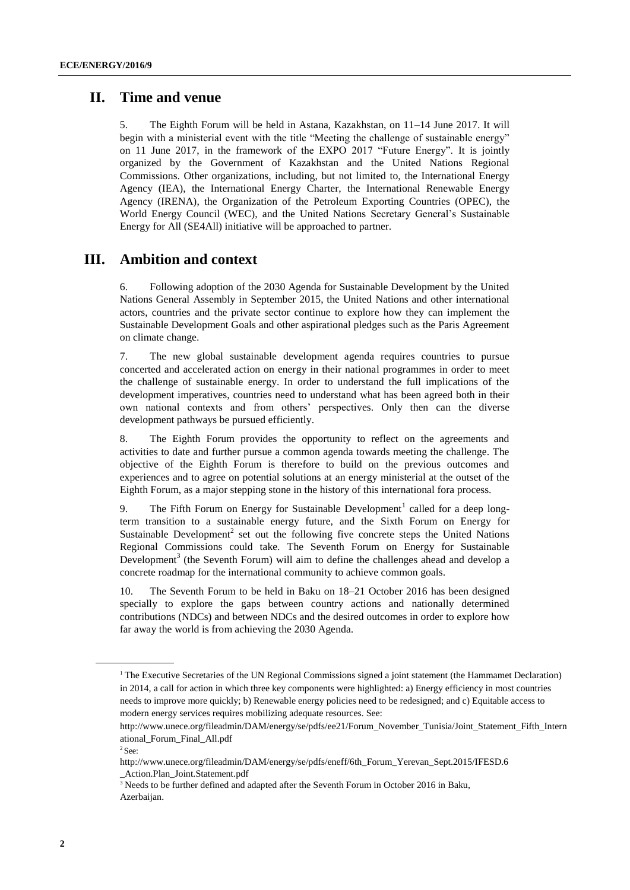### **II. Time and venue**

5. The Eighth Forum will be held in Astana, Kazakhstan, on 11–14 June 2017. It will begin with a ministerial event with the title "Meeting the challenge of sustainable energy" on 11 June 2017, in the framework of the EXPO 2017 "Future Energy". It is jointly organized by the Government of Kazakhstan and the United Nations Regional Commissions. Other organizations, including, but not limited to, the International Energy Agency (IEA), the International Energy Charter, the International Renewable Energy Agency (IRENA), the Organization of the Petroleum Exporting Countries (OPEC), the World Energy Council (WEC), and the United Nations Secretary General's Sustainable Energy for All (SE4All) initiative will be approached to partner.

# **III. Ambition and context**

6. Following adoption of the 2030 Agenda for Sustainable Development by the United Nations General Assembly in September 2015, the United Nations and other international actors, countries and the private sector continue to explore how they can implement the Sustainable Development Goals and other aspirational pledges such as the Paris Agreement on climate change.

7. The new global sustainable development agenda requires countries to pursue concerted and accelerated action on energy in their national programmes in order to meet the challenge of sustainable energy. In order to understand the full implications of the development imperatives, countries need to understand what has been agreed both in their own national contexts and from others' perspectives. Only then can the diverse development pathways be pursued efficiently.

8. The Eighth Forum provides the opportunity to reflect on the agreements and activities to date and further pursue a common agenda towards meeting the challenge. The objective of the Eighth Forum is therefore to build on the previous outcomes and experiences and to agree on potential solutions at an energy ministerial at the outset of the Eighth Forum, as a major stepping stone in the history of this international fora process.

9. The Fifth Forum on Energy for Sustainable Development<sup>1</sup> called for a deep longterm transition to a sustainable energy future, and the Sixth Forum on Energy for Sustainable Development<sup>2</sup> set out the following five concrete steps the United Nations Regional Commissions could take. The Seventh Forum on Energy for Sustainable Development<sup>3</sup> (the Seventh Forum) will aim to define the challenges ahead and develop a concrete roadmap for the international community to achieve common goals.

10. The Seventh Forum to be held in Baku on 18–21 October 2016 has been designed specially to explore the gaps between country actions and nationally determined contributions (NDCs) and between NDCs and the desired outcomes in order to explore how far away the world is from achieving the 2030 Agenda.

<sup>&</sup>lt;sup>1</sup> The Executive Secretaries of the UN Regional Commissions signed a joint statement (the Hammamet Declaration) in 2014, a call for action in which three key components were highlighted: a) Energy efficiency in most countries needs to improve more quickly; b) Renewable energy policies need to be redesigned; and c) Equitable access to modern energy services requires mobilizing adequate resources. See:

[http://www.unece.org/fileadmin/DAM/energy/se/pdfs/ee21/Forum\\_November\\_Tunisia/Joint\\_Statement\\_Fifth\\_Intern](http://www.unece.org/fileadmin/DAM/energy/se/pdfs/ee21/Forum_November_Tunisia/Joint_Statement_Fifth_Intern%09ational_Forum_Final_All.pdf) [ational\\_Forum\\_Final\\_All.pdf](http://www.unece.org/fileadmin/DAM/energy/se/pdfs/ee21/Forum_November_Tunisia/Joint_Statement_Fifth_Intern%09ational_Forum_Final_All.pdf)

 $2$  See:

[http://www.unece.org/fileadmin/DAM/energy/se/pdfs/eneff/6th\\_Forum\\_Yerevan\\_Sept.2015/IFESD.6](http://www.unece.org/fileadmin/DAM/energy/se/pdfs/eneff/6th_Forum_Yerevan_Sept.2015/IFESD.6%09_Action.Plan_Joint.Statement.pdf) [\\_Action.Plan\\_Joint.Statement.pdf](http://www.unece.org/fileadmin/DAM/energy/se/pdfs/eneff/6th_Forum_Yerevan_Sept.2015/IFESD.6%09_Action.Plan_Joint.Statement.pdf)

<sup>&</sup>lt;sup>3</sup> Needs to be further defined and adapted after the Seventh Forum in October 2016 in Baku, Azerbaijan.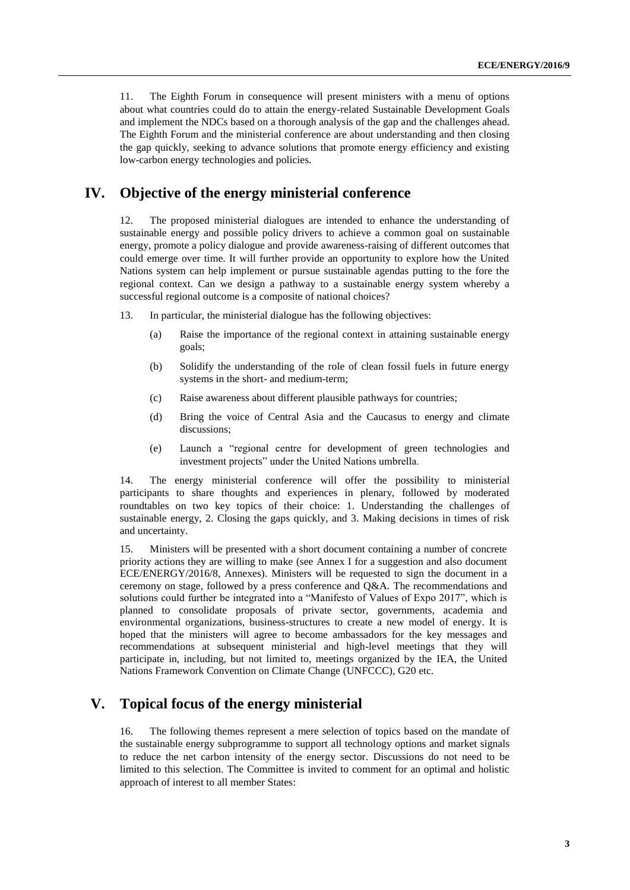11. The Eighth Forum in consequence will present ministers with a menu of options about what countries could do to attain the energy-related Sustainable Development Goals and implement the NDCs based on a thorough analysis of the gap and the challenges ahead. The Eighth Forum and the ministerial conference are about understanding and then closing the gap quickly, seeking to advance solutions that promote energy efficiency and existing low-carbon energy technologies and policies.

## **IV. Objective of the energy ministerial conference**

12. The proposed ministerial dialogues are intended to enhance the understanding of sustainable energy and possible policy drivers to achieve a common goal on sustainable energy, promote a policy dialogue and provide awareness-raising of different outcomes that could emerge over time. It will further provide an opportunity to explore how the United Nations system can help implement or pursue sustainable agendas putting to the fore the regional context. Can we design a pathway to a sustainable energy system whereby a successful regional outcome is a composite of national choices?

- 13. In particular, the ministerial dialogue has the following objectives:
	- (a) Raise the importance of the regional context in attaining sustainable energy goals;
	- (b) Solidify the understanding of the role of clean fossil fuels in future energy systems in the short- and medium-term;
	- (c) Raise awareness about different plausible pathways for countries;
	- (d) Bring the voice of Central Asia and the Caucasus to energy and climate discussions;
	- (e) Launch a "regional centre for development of green technologies and investment projects" under the United Nations umbrella.

14. The energy ministerial conference will offer the possibility to ministerial participants to share thoughts and experiences in plenary, followed by moderated roundtables on two key topics of their choice: 1. Understanding the challenges of sustainable energy, 2. Closing the gaps quickly, and 3. Making decisions in times of risk and uncertainty.

15. Ministers will be presented with a short document containing a number of concrete priority actions they are willing to make (see Annex I for a suggestion and also document ECE/ENERGY/2016/8, Annexes). Ministers will be requested to sign the document in a ceremony on stage, followed by a press conference and Q&A. The recommendations and solutions could further be integrated into a "Manifesto of Values of Expo 2017", which is planned to consolidate proposals of private sector, governments, academia and environmental organizations, business-structures to create a new model of energy. It is hoped that the ministers will agree to become ambassadors for the key messages and recommendations at subsequent ministerial and high-level meetings that they will participate in, including, but not limited to, meetings organized by the IEA, the United Nations Framework Convention on Climate Change (UNFCCC), G20 etc.

# **V. Topical focus of the energy ministerial**

16. The following themes represent a mere selection of topics based on the mandate of the sustainable energy subprogramme to support all technology options and market signals to reduce the net carbon intensity of the energy sector. Discussions do not need to be limited to this selection. The Committee is invited to comment for an optimal and holistic approach of interest to all member States: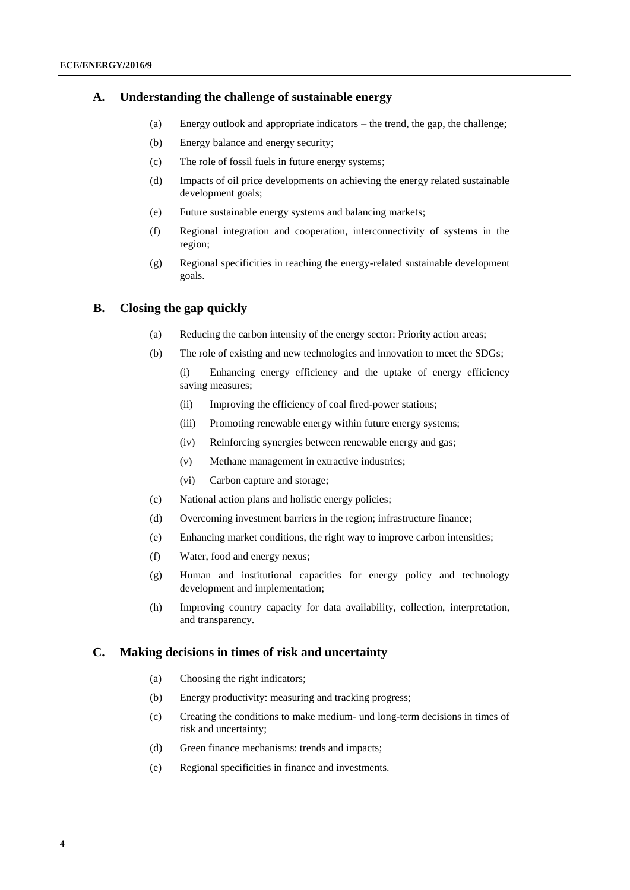#### **A. Understanding the challenge of sustainable energy**

- (a) Energy outlook and appropriate indicators the trend, the gap, the challenge;
- (b) Energy balance and energy security;
- (c) The role of fossil fuels in future energy systems;
- (d) Impacts of oil price developments on achieving the energy related sustainable development goals;
- (e) Future sustainable energy systems and balancing markets;
- (f) Regional integration and cooperation, interconnectivity of systems in the region;
- (g) Regional specificities in reaching the energy-related sustainable development goals.

#### **B. Closing the gap quickly**

- (a) Reducing the carbon intensity of the energy sector: Priority action areas;
- (b) The role of existing and new technologies and innovation to meet the SDGs;

(i) Enhancing energy efficiency and the uptake of energy efficiency saving measures;

- (ii) Improving the efficiency of coal fired-power stations;
- (iii) Promoting renewable energy within future energy systems;
- (iv) Reinforcing synergies between renewable energy and gas;
- (v) Methane management in extractive industries;
- (vi) Carbon capture and storage;
- (c) National action plans and holistic energy policies;
- (d) Overcoming investment barriers in the region; infrastructure finance;
- (e) Enhancing market conditions, the right way to improve carbon intensities;
- (f) Water, food and energy nexus;
- (g) Human and institutional capacities for energy policy and technology development and implementation;
- (h) Improving country capacity for data availability, collection, interpretation, and transparency.

#### **C. Making decisions in times of risk and uncertainty**

- (a) Choosing the right indicators;
- (b) Energy productivity: measuring and tracking progress;
- (c) Creating the conditions to make medium- und long-term decisions in times of risk and uncertainty;
- (d) Green finance mechanisms: trends and impacts;
- (e) Regional specificities in finance and investments.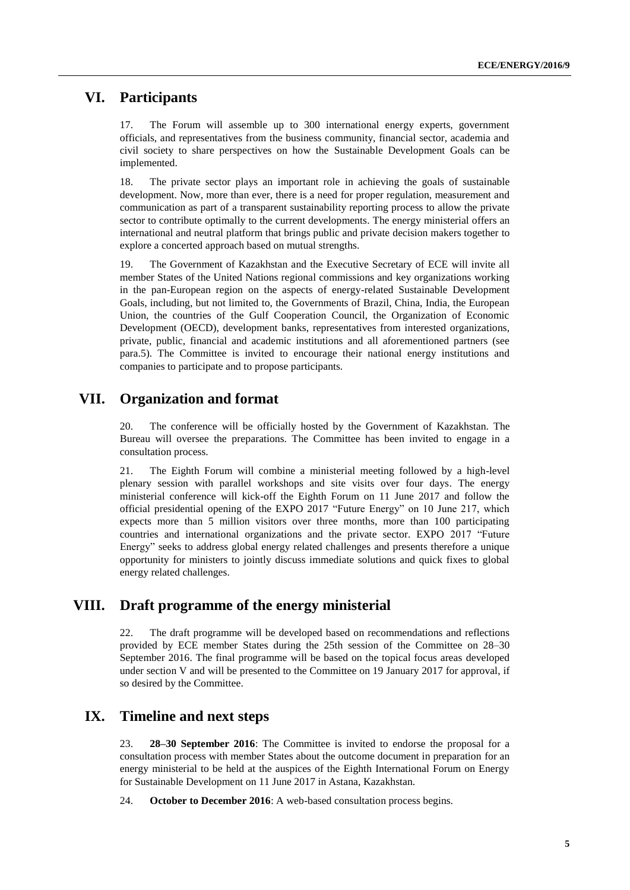### **VI. Participants**

17. The Forum will assemble up to 300 international energy experts, government officials, and representatives from the business community, financial sector, academia and civil society to share perspectives on how the Sustainable Development Goals can be implemented.

18. The private sector plays an important role in achieving the goals of sustainable development. Now, more than ever, there is a need for proper regulation, measurement and communication as part of a transparent sustainability reporting process to allow the private sector to contribute optimally to the current developments. The energy ministerial offers an international and neutral platform that brings public and private decision makers together to explore a concerted approach based on mutual strengths.

19. The Government of Kazakhstan and the Executive Secretary of ECE will invite all member States of the United Nations regional commissions and key organizations working in the pan-European region on the aspects of energy-related Sustainable Development Goals, including, but not limited to, the Governments of Brazil, China, India, the European Union, the countries of the Gulf Cooperation Council, the Organization of Economic Development (OECD), development banks, representatives from interested organizations, private, public, financial and academic institutions and all aforementioned partners (see para.5). The Committee is invited to encourage their national energy institutions and companies to participate and to propose participants.

## **VII. Organization and format**

20. The conference will be officially hosted by the Government of Kazakhstan. The Bureau will oversee the preparations. The Committee has been invited to engage in a consultation process.

21. The Eighth Forum will combine a ministerial meeting followed by a high-level plenary session with parallel workshops and site visits over four days. The energy ministerial conference will kick-off the Eighth Forum on 11 June 2017 and follow the official presidential opening of the EXPO 2017 "Future Energy" on 10 June 217, which expects more than 5 million visitors over three months, more than 100 participating countries and international organizations and the private sector. EXPO 2017 "Future Energy" seeks to address global energy related challenges and presents therefore a unique opportunity for ministers to jointly discuss immediate solutions and quick fixes to global energy related challenges.

### **VIII. Draft programme of the energy ministerial**

22. The draft programme will be developed based on recommendations and reflections provided by ECE member States during the 25th session of the Committee on 28–30 September 2016. The final programme will be based on the topical focus areas developed under section V and will be presented to the Committee on 19 January 2017 for approval, if so desired by the Committee.

# **IX. Timeline and next steps**

23. **28–30 September 2016**: The Committee is invited to endorse the proposal for a consultation process with member States about the outcome document in preparation for an energy ministerial to be held at the auspices of the Eighth International Forum on Energy for Sustainable Development on 11 June 2017 in Astana, Kazakhstan.

24. **October to December 2016**: A web-based consultation process begins.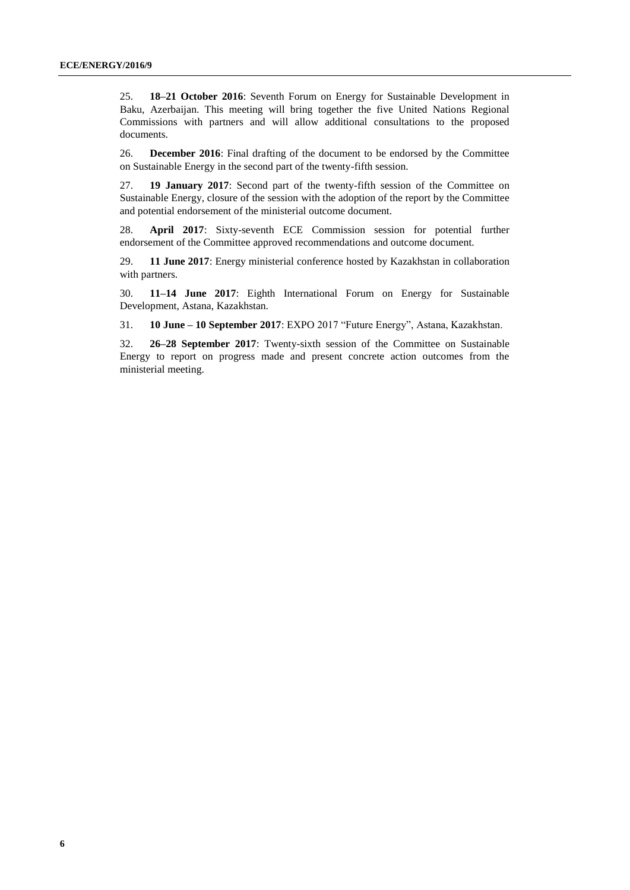25. **18–21 October 2016**: Seventh Forum on Energy for Sustainable Development in Baku, Azerbaijan. This meeting will bring together the five United Nations Regional Commissions with partners and will allow additional consultations to the proposed documents.

26. **December 2016**: Final drafting of the document to be endorsed by the Committee on Sustainable Energy in the second part of the twenty-fifth session.

27. **19 January 2017**: Second part of the twenty-fifth session of the Committee on Sustainable Energy, closure of the session with the adoption of the report by the Committee and potential endorsement of the ministerial outcome document.

28. **April 2017**: Sixty-seventh ECE Commission session for potential further endorsement of the Committee approved recommendations and outcome document.

29. **11 June 2017**: Energy ministerial conference hosted by Kazakhstan in collaboration with partners.

30. **11–14 June 2017**: Eighth International Forum on Energy for Sustainable Development, Astana, Kazakhstan.

31. **10 June – 10 September 2017**: EXPO 2017 "Future Energy", Astana, Kazakhstan.

32. **26–28 September 2017**: Twenty-sixth session of the Committee on Sustainable Energy to report on progress made and present concrete action outcomes from the ministerial meeting.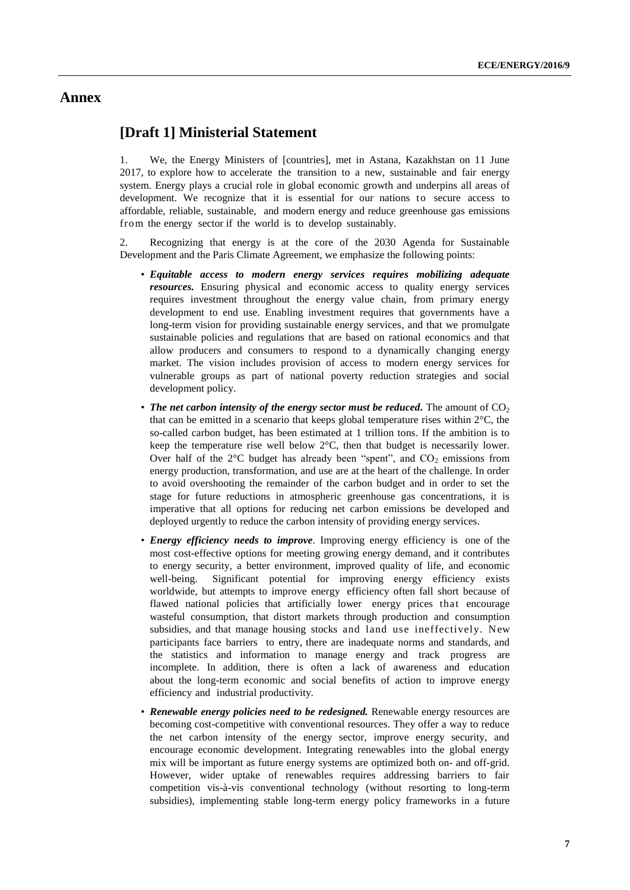### **Annex**

### **[Draft 1] Ministerial Statement**

1. We, the Energy Ministers of [countries], met in Astana, Kazakhstan on 11 June 2017, to explore how to accelerate the transition to a new, sustainable and fair energy system. Energy plays a crucial role in global economic growth and underpins all areas of development. We recognize that it is essential for our nations to secure access to affordable, reliable, sustainable, and modern energy and reduce greenhouse gas emissions from the energy sector if the world is to develop sustainably.

2. Recognizing that energy is at the core of the 2030 Agenda for Sustainable Development and the Paris Climate Agreement, we emphasize the following points:

- *Equitable access to modern energy services requires mobilizing adequate resources.* Ensuring physical and economic access to quality energy services requires investment throughout the energy value chain, from primary energy development to end use. Enabling investment requires that governments have a long-term vision for providing sustainable energy services, and that we promulgate sustainable policies and regulations that are based on rational economics and that allow producers and consumers to respond to a dynamically changing energy market. The vision includes provision of access to modern energy services for vulnerable groups as part of national poverty reduction strategies and social development policy.
- The net carbon intensity of the energy sector must be reduced. The amount of  $CO<sub>2</sub>$ that can be emitted in a scenario that keeps global temperature rises within  $2^{\circ}C$ , the so-called carbon budget, has been estimated at 1 trillion tons. If the ambition is to keep the temperature rise well below 2°C, then that budget is necessarily lower. Over half of the  $2^{\circ}$ C budget has already been "spent", and  $CO_2$  emissions from energy production, transformation, and use are at the heart of the challenge. In order to avoid overshooting the remainder of the carbon budget and in order to set the stage for future reductions in atmospheric greenhouse gas concentrations, it is imperative that all options for reducing net carbon emissions be developed and deployed urgently to reduce the carbon intensity of providing energy services.
- *Energy efficiency needs to improve*. Improving energy efficiency is one of the most cost-effective options for meeting growing energy demand, and it contributes to energy security, a better environment, improved quality of life, and economic well-being. Significant potential for improving energy efficiency exists worldwide, but attempts to improve energy efficiency often fall short because of flawed national policies that artificially lower energy prices that encourage wasteful consumption, that distort markets through production and consumption subsidies, and that manage housing stocks and land use ineffectively. New participants face barriers to entry, there are inadequate norms and standards, and the statistics and information to manage energy and track progress are incomplete. In addition, there is often a lack of awareness and education about the long-term economic and social benefits of action to improve energy efficiency and industrial productivity.
- *Renewable energy policies need to be redesigned.* Renewable energy resources are becoming cost-competitive with conventional resources. They offer a way to reduce the net carbon intensity of the energy sector, improve energy security, and encourage economic development. Integrating renewables into the global energy mix will be important as future energy systems are optimized both on- and off-grid. However, wider uptake of renewables requires addressing barriers to fair competition vis-à-vis conventional technology (without resorting to long-term subsidies), implementing stable long-term energy policy frameworks in a future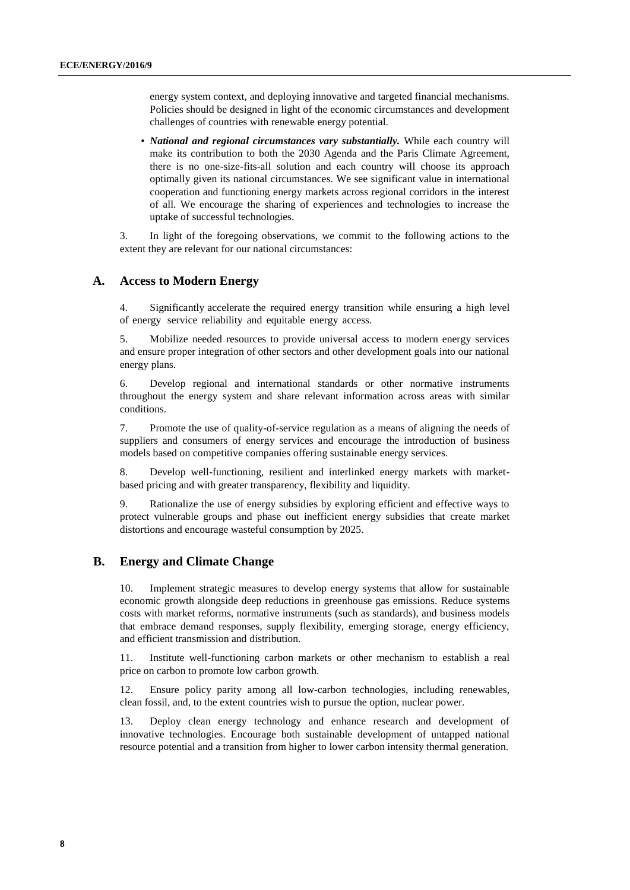energy system context, and deploying innovative and targeted financial mechanisms. Policies should be designed in light of the economic circumstances and development challenges of countries with renewable energy potential.

• *National and regional circumstances vary substantially.* While each country will make its contribution to both the 2030 Agenda and the Paris Climate Agreement, there is no one-size-fits-all solution and each country will choose its approach optimally given its national circumstances. We see significant value in international cooperation and functioning energy markets across regional corridors in the interest of all. We encourage the sharing of experiences and technologies to increase the uptake of successful technologies.

3. In light of the foregoing observations, we commit to the following actions to the extent they are relevant for our national circumstances:

#### **A. Access to Modern Energy**

4. Significantly accelerate the required energy transition while ensuring a high level of energy service reliability and equitable energy access.

5. Mobilize needed resources to provide universal access to modern energy services and ensure proper integration of other sectors and other development goals into our national energy plans.

6. Develop regional and international standards or other normative instruments throughout the energy system and share relevant information across areas with similar conditions.

7. Promote the use of quality-of-service regulation as a means of aligning the needs of suppliers and consumers of energy services and encourage the introduction of business models based on competitive companies offering sustainable energy services.

8. Develop well-functioning, resilient and interlinked energy markets with marketbased pricing and with greater transparency, flexibility and liquidity.

9. Rationalize the use of energy subsidies by exploring efficient and effective ways to protect vulnerable groups and phase out inefficient energy subsidies that create market distortions and encourage wasteful consumption by 2025.

#### **B. Energy and Climate Change**

10. Implement strategic measures to develop energy systems that allow for sustainable economic growth alongside deep reductions in greenhouse gas emissions. Reduce systems costs with market reforms, normative instruments (such as standards), and business models that embrace demand responses, supply flexibility, emerging storage, energy efficiency, and efficient transmission and distribution.

11. Institute well-functioning carbon markets or other mechanism to establish a real price on carbon to promote low carbon growth.

12. Ensure policy parity among all low-carbon technologies, including renewables, clean fossil, and, to the extent countries wish to pursue the option, nuclear power.

13. Deploy clean energy technology and enhance research and development of innovative technologies. Encourage both sustainable development of untapped national resource potential and a transition from higher to lower carbon intensity thermal generation.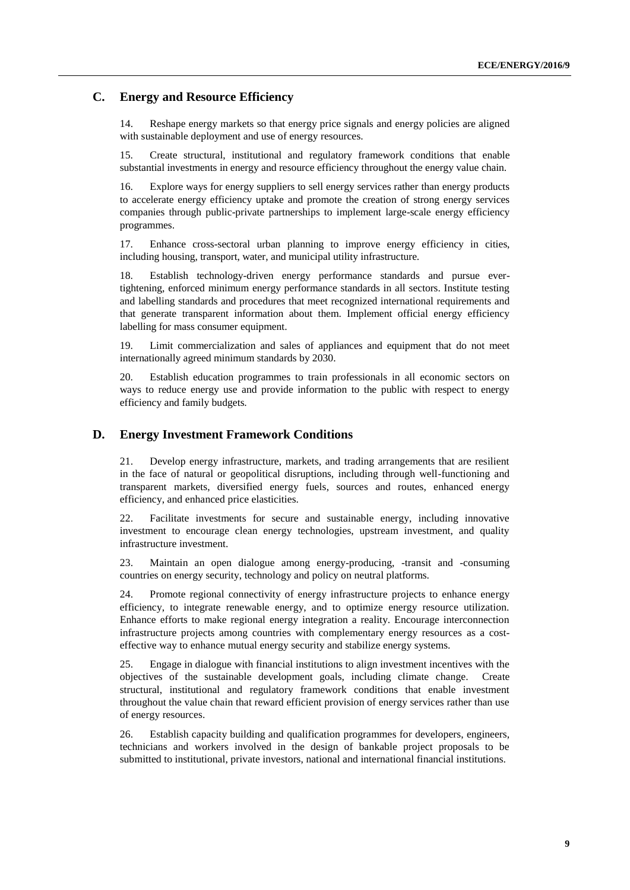#### **C. Energy and Resource Efficiency**

14. Reshape energy markets so that energy price signals and energy policies are aligned with sustainable deployment and use of energy resources.

15. Create structural, institutional and regulatory framework conditions that enable substantial investments in energy and resource efficiency throughout the energy value chain.

16. Explore ways for energy suppliers to sell energy services rather than energy products to accelerate energy efficiency uptake and promote the creation of strong energy services companies through public-private partnerships to implement large-scale energy efficiency programmes.

17. Enhance cross-sectoral urban planning to improve energy efficiency in cities, including housing, transport, water, and municipal utility infrastructure.

18. Establish technology-driven energy performance standards and pursue evertightening, enforced minimum energy performance standards in all sectors. Institute testing and labelling standards and procedures that meet recognized international requirements and that generate transparent information about them. Implement official energy efficiency labelling for mass consumer equipment.

19. Limit commercialization and sales of appliances and equipment that do not meet internationally agreed minimum standards by 2030.

20. Establish education programmes to train professionals in all economic sectors on ways to reduce energy use and provide information to the public with respect to energy efficiency and family budgets.

#### **D. Energy Investment Framework Conditions**

21. Develop energy infrastructure, markets, and trading arrangements that are resilient in the face of natural or geopolitical disruptions, including through well-functioning and transparent markets, diversified energy fuels, sources and routes, enhanced energy efficiency, and enhanced price elasticities.

22. Facilitate investments for secure and sustainable energy, including innovative investment to encourage clean energy technologies, upstream investment, and quality infrastructure investment.

23. Maintain an open dialogue among energy-producing, -transit and -consuming countries on energy security, technology and policy on neutral platforms.

24. Promote regional connectivity of energy infrastructure projects to enhance energy efficiency, to integrate renewable energy, and to optimize energy resource utilization. Enhance efforts to make regional energy integration a reality. Encourage interconnection infrastructure projects among countries with complementary energy resources as a costeffective way to enhance mutual energy security and stabilize energy systems.

25. Engage in dialogue with financial institutions to align investment incentives with the objectives of the sustainable development goals, including climate change. Create structural, institutional and regulatory framework conditions that enable investment throughout the value chain that reward efficient provision of energy services rather than use of energy resources.

26. Establish capacity building and qualification programmes for developers, engineers, technicians and workers involved in the design of bankable project proposals to be submitted to institutional, private investors, national and international financial institutions.